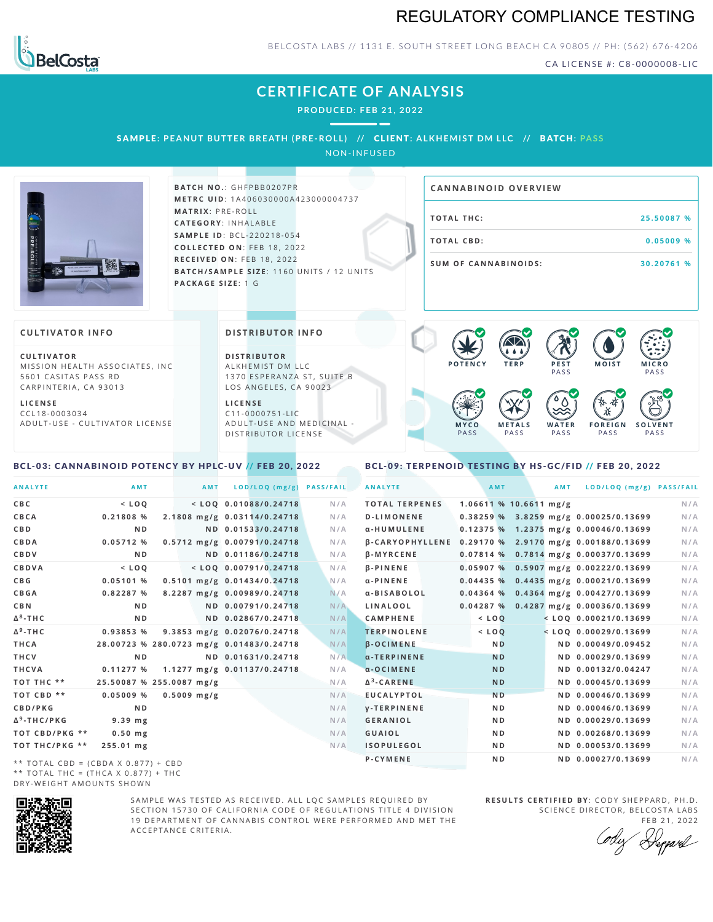# REGULATORY COMPLIANCE TESTING



### BELCOSTA LABS // 1131 E. SOUTH STREET LONG BEACH C A 90805 // PH: (562) 676-4206

CA LICENSE #: C8-0000008-LIC



#### <span id="page-0-0"></span>BCL-03: CANNABINOID POTENCY BY HPLC-UV // FEB 20, 2022

<span id="page-0-1"></span>BCL-09: TERPENOID TESTING BY HS-GC/FID // FEB 20, 2022

| <b>ANALYTE</b>                      | AMT                                      | <b>AMT</b>    | LOD/LOQ (mg/g)              | <b>PASS/FAIL</b> | <b>ANALYTE</b>                  | AMT            |                          | AMT | LOD/LOQ (mg/g) PASS/FAIL                              |     |
|-------------------------------------|------------------------------------------|---------------|-----------------------------|------------------|---------------------------------|----------------|--------------------------|-----|-------------------------------------------------------|-----|
| CBC                                 | $<$ LOO                                  |               | $<$ LOQ 0.01088/0.24718     | N/A              | <b>TOTAL TERPENES</b>           |                | $1.06611$ % 10.6611 mg/g |     |                                                       | N/A |
| CBCA                                | 0.21808 %                                |               | 2.1808 mg/g 0.03114/0.24718 | N/A              | <b>D-LIMONENE</b>               |                |                          |     | 0.38259 % 3.8259 mg/g 0.00025/0.13699                 | N/A |
|                                     |                                          |               |                             |                  |                                 |                |                          |     |                                                       |     |
| C B D                               | N <sub>D</sub>                           |               | ND 0.01533/0.24718          | N/A              | α-HUMULENE                      |                |                          |     | 0.12375 % 1.2375 mg/g 0.00046/0.13699                 | N/A |
| CBDA                                | 0.05712%                                 |               | 0.5712 mg/g 0.00791/0.24718 | N/A              |                                 |                |                          |     | β-CARYOPHYLLENE 0.29170 % 2.9170 mg/g 0.00188/0.13699 | N/A |
| CBDV                                | N <sub>D</sub>                           |               | ND 0.01186/0.24718          | N/A              | <b>B-MYRCENE</b>                |                |                          |     | 0.07814 % 0.7814 mg/g 0.00037/0.13699                 | N/A |
| CBDVA                               | $<$ LOO                                  |               | $<$ LOO 0.00791/0.24718     | N/A              | <b>B-PINENE</b>                 | 0.05907%       |                          |     | 0.5907 mg/g 0.00222/0.13699                           | N/A |
| C B G                               | 0.05101 %                                |               | 0.5101 mg/g 0.01434/0.24718 | N/A              | $\alpha$ -PINENE                | 0.04435%       |                          |     | 0.4435 mg/g 0.00021/0.13699                           | N/A |
| CBGA                                | 0.82287 %                                |               | 8.2287 mg/g 0.00989/0.24718 | N/A              | α-BISABOLOL                     | 0.04364%       |                          |     | $0.4364$ mg/g $0.00427/0.13699$                       | N/A |
| <b>CBN</b>                          | N <sub>D</sub>                           |               | ND 0.00791/0.24718          | N/A              | LINALOOL                        | 0.04287%       |                          |     | $0.4287$ mg/g $0.00036/0.13699$                       | N/A |
| $\Delta^8$ -THC                     | N <sub>D</sub>                           |               | ND 0.02867/0.24718          | N/A              | <b>CAMPHENE</b>                 | $<$ LOQ        |                          |     | $<$ LOQ 0.00021/0.13699                               | N/A |
| $\Delta^9$ -THC                     | 0.93853 %                                |               | 9.3853 mg/g 0.02076/0.24718 | N/A              | <b>TERPINOLENE</b>              | $<$ LOQ        |                          |     | $<$ LOO 0.00029/0.13699                               | N/A |
| THCA                                | 28.00723 % 280.0723 mg/g 0.01483/0.24718 |               |                             | N/A              | <b>B-OCIMENE</b>                | <b>ND</b>      |                          |     | ND 0.00049/0.09452                                    | N/A |
| <b>THCV</b>                         | N <sub>D</sub>                           |               | ND 0.01631/0.24718          | N/A              | $\alpha$ -TERPINENE             | <b>ND</b>      |                          |     | ND 0.00029/0.13699                                    | N/A |
| <b>THCVA</b>                        | 0.11277%                                 |               | 1.1277 mg/g 0.01137/0.24718 | N/A              | $a - O$ $C$ $I$ $M$ $E$ $N$ $E$ | <b>ND</b>      |                          |     | ND 0.00132/0.04247                                    | N/A |
| TOT THC **                          | 25.50087 % 255.0087 mg/g                 |               |                             | N/A              | $\Delta^3$ -CARENE              | <b>ND</b>      |                          |     | ND 0.00045/0.13699                                    | N/A |
| TOT CBD **                          | 0.05009%                                 | $0.5009$ mg/g |                             | N/A              | <b>EUCALYPTOL</b>               | N <sub>D</sub> |                          |     | ND 0.00046/0.13699                                    | N/A |
| CBD/PKG                             | N <sub>D</sub>                           |               |                             | N/A              | <b>V-TERPINENE</b>              | N <sub>D</sub> |                          |     | ND 0.00046/0.13699                                    | N/A |
| Δ <sup>9</sup> -THC/PKG             | $9.39$ mg                                |               |                             | N/A              | <b>GERANIOL</b>                 | N <sub>D</sub> |                          |     | ND 0.00029/0.13699                                    | N/A |
| TOT CBD/PKG **                      | $0.50$ mg                                |               |                             | N/A              | <b>GUAIOL</b>                   | N <sub>D</sub> |                          |     | ND 0.00268/0.13699                                    | N/A |
| TOT THC/PKG **                      | 255.01 mg                                |               |                             | N/A              | <b>ISOPULEGOL</b>               | N <sub>D</sub> |                          |     | ND 0.00053/0.13699                                    | N/A |
| ** TOTAL CBD = (CBDA X 0.877) + CBD |                                          |               |                             |                  | P-CYMENE                        | N <sub>D</sub> |                          |     | ND 0.00027/0.13699                                    | N/A |

\*\* TOTAL THC =  $(THCA X 0.877) + THC$ DRY-WEIGHT AMOUNTS SHOWN



SAMPLE WAS TESTED AS RECEIVED. ALL LOC SAMPLES REQUIRED BY SECTION 15730 OF CALIFORNIA CODE OF REGULATIONS TITLE 4 DIVISION 19 DEPARTMENT OF CANNABIS CONTROL WERE PERFORMED AND MET THE A C C E P T A N C E C R I T E R I A .

**R E S U L T S C E R T I F I E D BY** : C O D Y S H E P P A R D ,P H .D . SCIENCE DIRECTOR, BELCOSTA LABS

FEB 21, 2022<br>Repard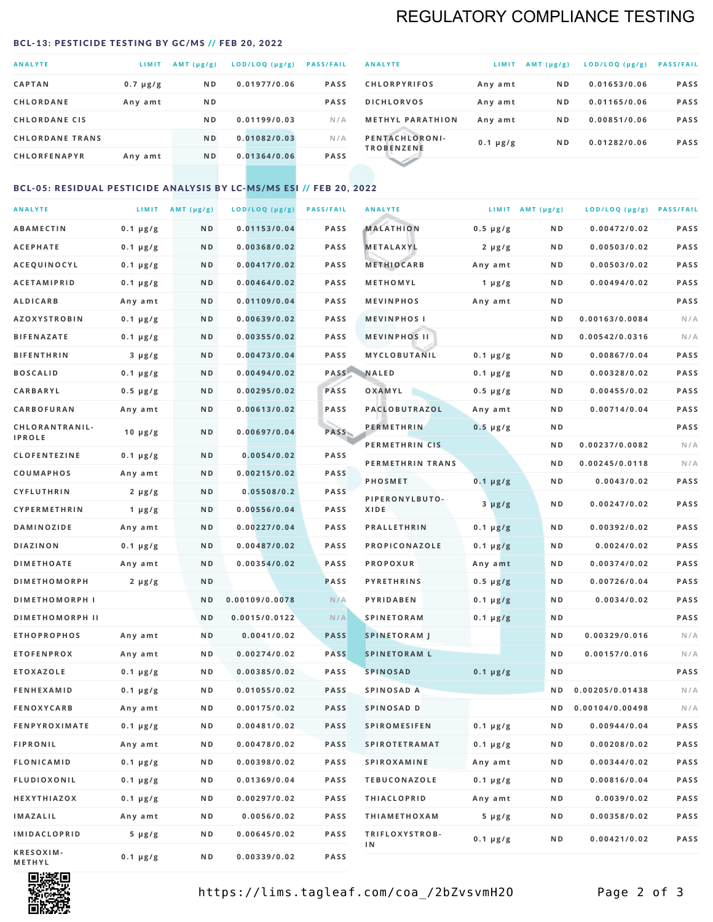# REGULATORY COMPLIANCE TESTING

### <span id="page-1-0"></span>BCL-13: PESTICIDE TESTING BY GC/MS // FEB 20, 2022

| <b>ANALYTE</b>         | LIMIT         | $AMT(\mu g/g)$ | LOD/LOQ (µg/g) | <b>PASS/FAIL</b> |
|------------------------|---------------|----------------|----------------|------------------|
| <b>CAPTAN</b>          | $0.7 \mu g/g$ | N <sub>D</sub> | 0.01977/0.06   | <b>PASS</b>      |
| <b>CHLORDANE</b>       | Any amt       | N <sub>D</sub> |                | <b>PASS</b>      |
| <b>CHLORDANE CIS</b>   |               | ND.            | 0.01199/0.03   | N/A              |
| <b>CHLORDANE TRANS</b> |               | N <sub>D</sub> | 0.01082/0.03   | N/A              |
| <b>CHLORFENAPYR</b>    | Any amt       | N <sub>D</sub> | 0.01364/0.06   | <b>PASS</b>      |
|                        |               |                |                |                  |

| <b>ANALYTE</b>                      | LIMIT         | $AMT (\mu g/g)$ | LOD/LOQ (µg/g) | <b>PASS/FAIL</b> |
|-------------------------------------|---------------|-----------------|----------------|------------------|
| <b>CHLORPYRIFOS</b>                 | Any amt       | N <sub>D</sub>  | 0.01653/0.06   | <b>PASS</b>      |
| <b>DICHLORVOS</b>                   | Any amt       | N <sub>D</sub>  | 0.01165/0.06   | <b>PASS</b>      |
| <b>METHYL PARATHION</b>             | Any amt       | N <sub>D</sub>  | 0.00851/0.06   | <b>PASS</b>      |
| PENTACHLORONI-<br><b>TROBENZENE</b> | $0.1 \mu g/g$ | N <sub>D</sub>  | 0.01282/0.06   | <b>PASS</b>      |
|                                     |               |                 |                |                  |

## BCL-05: RESIDUAL PESTICIDE ANALYSIS BY LC-MS/MS ESI // FEB 20, 2022

| <b>ANALYTE</b>         |                  | LIMIT $AMT (\mu g/g)$ | LOD/LOQ (µg/g) | <b>PASS/FAIL</b> | <b>ANALYTE</b>       |                  | LIMIT AMT $(\mu g/g)$ | LOD/LOQ (µg/g) PASS/FAIL |             |
|------------------------|------------------|-----------------------|----------------|------------------|----------------------|------------------|-----------------------|--------------------------|-------------|
| <b>ABAMECTIN</b>       | $0.1 \mu g/g$    | N D                   | 0.01153/0.04   | <b>PASS</b>      | <b>MALATHION</b>     | $0.5 \mu g/g$    | N D                   | 0.00472/0.02             | <b>PASS</b> |
| <b>ACEPHATE</b>        | $0.1 \mu g/g$    | N D                   | 0.00368/0.02   | <b>PASS</b>      | <b>METALAXYL</b>     | $2 \mu g/g$      | N D                   | 0.00503/0.02             | PASS        |
| ACEQUINOCYL            | $0.1 \mu g/g$    | N D                   | 0.00417/0.02   | <b>PASS</b>      | <b>METHIOCARB</b>    | Any amt          | N D                   | 0.00503/0.02             | PASS        |
| <b>ACETAMIPRID</b>     | $0.1 \mu g/g$    | N D                   | 0.00464/0.02   | PASS             | METHOMYL             | 1 $\mu$ g/g      | N D                   | 0.00494/0.02             | PASS        |
| <b>ALDICARB</b>        | Any amt          | ND                    | 0.01109/0.04   | <b>PASS</b>      | <b>MEVINPHOS</b>     | Any amt          | N D                   |                          | PASS        |
| <b>AZOXYSTROBIN</b>    | $0.1 \mu g/g$    | N D                   | 0.00639/0.02   | <b>PASS</b>      | <b>MEVINPHOSI</b>    |                  | N D                   | 0.00163/0.0084           | N/A         |
| <b>BIFENAZATE</b>      | $0.1 \mu g/g$    | N D                   | 0.00355/0.02   | <b>PASS</b>      | <b>MEVINPHOS II</b>  |                  | N D                   | 0.00542/0.0316           | N/A         |
| <b>BIFENTHRIN</b>      | $3 \mu g/g$      | ND                    | 0.00473/0.04   | <b>PASS</b>      | MYCLOBUTANIL         | $0.1 \mu g/g$    | N D                   | 0.00867/0.04             | PASS        |
| <b>BOSCALID</b>        | $0.1 \mu g/g$    | N D                   | 0.00494/0.02   |                  | PASS NALED           | 0.1 µg/g         | N D                   | 0.00328/0.02             | PASS        |
| CARBARYL               | $0.5 \, \mu g/g$ | N D                   | 0.00295/0.02   | PASS             | OXAMYL               | $0.5 \, \mu g/g$ | N D                   | 0.00455/0.02             | PASS        |
| CARBOFURAN             | Any amt          | N D                   | 0.00613/0.02   | PASS             | PACLOBUTRAZOL        | Any amt          | N D                   | 0.00714/0.04             | PASS        |
| CHLORANTRANIL-         | $10 \mu g/g$     | N D                   | 0.00697/0.04   | PASS             | <b>PERMETHRIN</b>    | $0.5 \mu g/g$    | N D                   |                          | PASS        |
| <b>IPROLE</b>          |                  |                       |                |                  | PERMETHRIN CIS       |                  | N D                   | 0.00237/0.0082           | N/A         |
| <b>CLOFENTEZINE</b>    | $0.1 \mu g/g$    | N D                   | 0.0054/0.02    | <b>PASS</b>      | PERMETHRIN TRANS     |                  | N D                   | 0.00245/0.0118           | N/A         |
| COUMAPHOS              | Any amt          | N D                   | 0.00215/0.02   | <b>PASS</b>      | <b>PHOSMET</b>       | $0.1 \mu g/g$    | N D                   | 0.0043/0.02              | PASS        |
| CYFLUTHRIN             | $2 \mu g/g$      | N D                   | 0.05508/0.2    | <b>PASS</b>      | PIPERONYLBUTO-       | $3 \mu g/g$      | N D                   | 0.00247/0.02             | PASS        |
| <b>CYPERMETHRIN</b>    | 1 $\mu$ g/g      | N D                   | 0.00556/0.04   | <b>PASS</b>      | XIDE                 |                  |                       |                          |             |
| <b>DAMINOZIDE</b>      | Any amt          | N D                   | 0.00227/0.04   | PASS             | <b>PRALLETHRIN</b>   | $0.1 \mu g/g$    | N D                   | 0.00392/0.02             | PASS        |
| <b>DIAZINON</b>        | $0.1 \mu g/g$    | N D                   | 0.00487/0.02   | <b>PASS</b>      | PROPICONAZOLE        | $0.1 \mu g/g$    | N D                   | 0.0024/0.02              | PASS        |
| <b>DIMETHOATE</b>      | Any amt          | N D                   | 0.00354/0.02   | <b>PASS</b>      | <b>PROPOXUR</b>      | Any amt          | N D                   | 0.00374/0.02             | PASS        |
| <b>DIMETHOMORPH</b>    | $2 \mu g/g$      | N D                   |                | <b>PASS</b>      | <b>PYRETHRINS</b>    | $0.5 \mu g/g$    | N D                   | 0.00726/0.04             | PASS        |
| <b>DIMETHOMORPH I</b>  |                  | N D                   | 0.00109/0.0078 | N/A              | <b>PYRIDABEN</b>     | $0.1 \mu g/g$    | N D                   | 0.0034/0.02              | PASS        |
| <b>DIMETHOMORPH II</b> |                  | ND                    | 0.0015/0.0122  | N/A              | <b>SPINETORAM</b>    | $0.1 \mu g/g$    | N D                   |                          | PASS        |
| <b>ETHOPROPHOS</b>     | Any amt          | N D                   | 0.0041/0.02    | <b>PASS</b>      | <b>SPINETORAM J</b>  |                  | N D                   | 0.00329/0.016            | N/A         |
| <b>ETOFENPROX</b>      | Any amt          | N D                   | 0.00274/0.02   | <b>PASS</b>      | <b>SPINETORAM L</b>  |                  | N D                   | 0.00157/0.016            | N/A         |
| <b>ETOXAZOLE</b>       | $0.1 \mu g/g$    | N D                   | 0.00385/0.02   | PASS             | <b>SPINOSAD</b>      | $0.1 \mu g/g$    | N D                   |                          | PASS        |
| <b>FENHEXAMID</b>      | $0.1 \mu g/g$    | N D                   | 0.01055/0.02   | <b>PASS</b>      | SPINOSAD A           |                  | N D                   | 0.00205/0.01438          | N/A         |
| <b>FENOXYCARB</b>      | Any amt          | N D                   | 0.00175/0.02   | <b>PASS</b>      | SPINOSAD D           |                  | N D                   | 0.00104/0.00498          | N/A         |
| <b>FENPYROXIMATE</b>   | 0.1 µg/g         | N D                   | 0.00481/0.02   | <b>PASS</b>      | SPIROMESIFEN         | 0.1 µg/g         | N D                   | 0.00944/0.04             | PASS        |
| <b>FIPRONIL</b>        | Any amt          | N D                   | 0.00478/0.02   | PASS             | <b>SPIROTETRAMAT</b> | $0.1 \, \mu g/g$ | N D                   | 0.00208/0.02             | PASS        |
| FLONICAMID             | $0.1 \mu g/g$    | N D                   | 0.00398/0.02   | PASS             | SPIROXAMINE          | Any amt          | N D                   | 0.00344/0.02             | PASS        |
| <b>FLUDIOXONIL</b>     | $0.1 \mu g/g$    | N D                   | 0.01369/0.04   | PASS             | <b>TEBUCONAZOLE</b>  | $0.1 \mu g/g$    | N D                   | 0.00816/0.04             | PASS        |
| HEXYTHIAZOX            | $0.1 \mu g/g$    | N D                   | 0.00297/0.02   | PASS             | <b>THIACLOPRID</b>   | Any amt          | N D                   | 0.0039/0.02              | PASS        |
| <b>IMAZALIL</b>        | Any amt          | N D                   | 0.0056/0.02    | PASS             | <b>THIAMETHOXAM</b>  | $5 \mu g/g$      | N D                   | 0.00358/0.02             | PASS        |
| <b>IMIDACLOPRID</b>    | 5 µg/g           | N D                   | 0.00645/0.02   | <b>PASS</b>      | TRIFLOXYSTROB-<br>ΙN | $0.1 \mu g/g$    | N D                   | 0.00421/0.02             | PASS        |
| KRESOXIM-<br>METHYL    | $0.1 \mu g/g$    | N D                   | 0.00339/0.02   | PASS             |                      |                  |                       |                          |             |